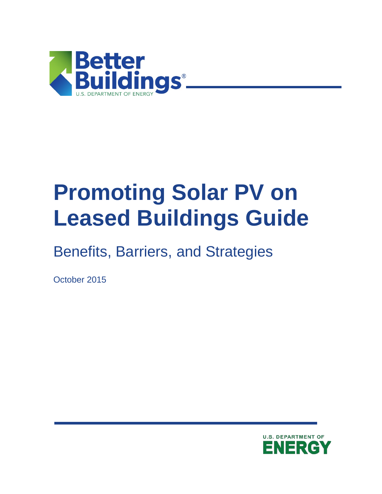

## **Promoting Solar PV on Leased Buildings Guide**

Benefits, Barriers, and Strategies

October 2015

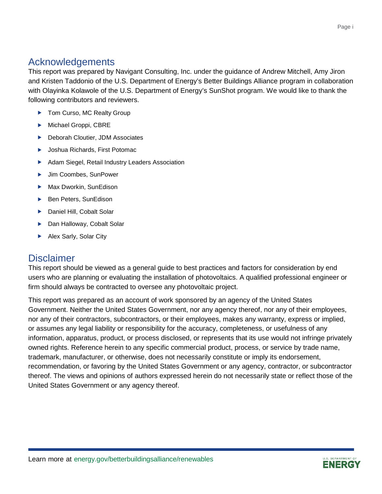### Acknowledgements

This report was prepared by Navigant Consulting, Inc. under the guidance of Andrew Mitchell, Amy Jiron and Kristen Taddonio of the U.S. Department of Energy's Better Buildings Alliance program in collaboration with Olayinka Kolawole of the U.S. Department of Energy's SunShot program. We would like to thank the following contributors and reviewers.

- ▶ Tom Curso, MC Realty Group
- Michael Groppi, CBRE
- ▶ Deborah Cloutier, JDM Associates
- ▶ Joshua Richards, First Potomac
- Adam Siegel, Retail Industry Leaders Association
- ▶ Jim Coombes, SunPower
- ▶ Max Dworkin, SunEdison
- ▶ Ben Peters, SunEdison
- ▶ Daniel Hill, Cobalt Solar
- ▶ Dan Halloway, Cobalt Solar
- Alex Sarly, Solar City

#### **Disclaimer**

This report should be viewed as a general guide to best practices and factors for consideration by end users who are planning or evaluating the installation of photovoltaics. A qualified professional engineer or firm should always be contracted to oversee any photovoltaic project.

This report was prepared as an account of work sponsored by an agency of the United States Government. Neither the United States Government, nor any agency thereof, nor any of their employees, nor any of their contractors, subcontractors, or their employees, makes any warranty, express or implied, or assumes any legal liability or responsibility for the accuracy, completeness, or usefulness of any information, apparatus, product, or process disclosed, or represents that its use would not infringe privately owned rights. Reference herein to any specific commercial product, process, or service by trade name, trademark, manufacturer, or otherwise, does not necessarily constitute or imply its endorsement, recommendation, or favoring by the United States Government or any agency, contractor, or subcontractor thereof. The views and opinions of authors expressed herein do not necessarily state or reflect those of the United States Government or any agency thereof.

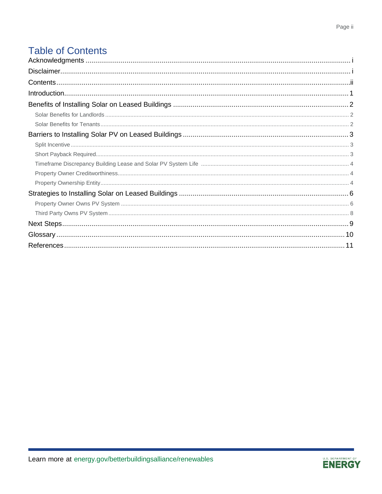## **Table of Contents**

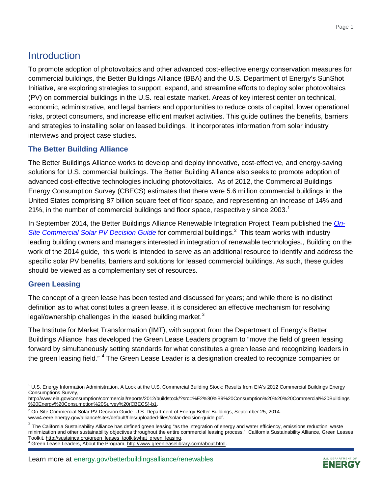## **Introduction**

To promote adoption of photovoltaics and other advanced cost-effective energy conservation measures for commercial buildings, the [Better Buildings Alliance](https://www4.eere.energy.gov/alliance/node/9) (BBA) and the [U.S. Department of Energy's SunShot](http://energy.gov/eere/sunshot/sunshot-initiative)  [Initiative,](http://energy.gov/eere/sunshot/sunshot-initiative) are exploring strategies to support, expand, and streamline efforts to deploy solar photovoltaics (PV) on commercial buildings in the U.S. real estate market. Areas of key interest center on technical, economic, administrative, and legal barriers and opportunities to reduce costs of capital, lower operational risks, protect consumers, and increase efficient market activities. This guide outlines the benefits, barriers and strategies to installing solar on leased buildings. It incorporates information from solar industry interviews and project case studies.

#### **The Better Building Alliance**

The Better Buildings Alliance works to develop and deploy innovative, cost-effective, and energy-saving solutions for U.S. commercial buildings. The Better Building Alliance also seeks to promote adoption of advanced cost-effective technologies including photovoltaics. As of 2012, the Commercial Buildings Energy Consumption Survey (CBECS) estimates that there were 5.6 million commercial buildings in the United States comprising 87 billion square feet of floor space, and representing an increase of 14% and 2[1](#page-3-0)%, in the number of commercial buildings and floor space, respectively since  $2003<sup>-1</sup>$ 

In September 2014, the Better Buildings Alliance Renewable Integration Project Team published the *[On-](https://www4.eere.energy.gov/alliance/sites/default/files/uploaded-files/solar-decision-guide.pdf)[Site Commercial Solar PV Decision Guide](https://www4.eere.energy.gov/alliance/sites/default/files/uploaded-files/solar-decision-guide.pdf)* for commercial buildings.[2](#page-3-1) This team works with industry leading building owners and managers interested in integration of renewable technologies., Building on the work of the 2014 guide, this work is intended to serve as an additional resource to identify and address the specific solar PV benefits, barriers and solutions for leased commercial buildings. As such, these guides should be viewed as a complementary set of resources.

#### **Green Leasing**

The concept of a green lease has been tested and discussed for years; and while there is no distinct definition as to what constitutes a green lease, it is considered an effective mechanism for resolving legal/ownership challenges in the leased building market. $3$ 

The Institute for Market Transformation (IMT), with support from the Department of Energy's Better Buildings Alliance, has developed the Green Lease Leaders program to "move the field of green leasing forward by simultaneously setting standards for what constitutes a green lease and recognizing leaders in the green leasing field." <sup>[4](#page-3-3)</sup> The Green Lease Leader is a designation created to recognize companies or

[http://www.eia.gov/consumption/commercial/reports/2012/buildstock/?src=%E2%80%B9%20Consumption%20%20%20Commercial%20Buildings](http://www.eia.gov/consumption/commercial/reports/2012/buildstock/?src=%E2%80%B9%20Consumption%20%20%20Commercial%20Buildings%20Energy%20Consumption%20Survey%20(CBECS)-b1) [%20Energy%20Consumption%20Survey%20\(CBECS\)-b1.](http://www.eia.gov/consumption/commercial/reports/2012/buildstock/?src=%E2%80%B9%20Consumption%20%20%20Commercial%20Buildings%20Energy%20Consumption%20Survey%20(CBECS)-b1)

<span id="page-3-3"></span>Green Lease Leaders, About the Program, http://www.greenleaselibrary.com/about.html.



<span id="page-3-0"></span><sup>1</sup> U.S. Energy Information Administration, A Look at the U.S. Commercial Building Stock: Results from EIA's 2012 Commercial Buildings Energy Consumptions Survey,

<span id="page-3-1"></span> $2$  On-Site Commercial Solar PV Decision Guide. U.S. Department of Energy Better Buildings, September 25, 2014. [www4.eere.energy.gov/alliance/sites/default/files/uploaded-files/solar-decision-guide.pdf.](https://www4.eere.energy.gov/alliance/sites/default/files/uploaded-files/solar-decision-guide.pdf)

<span id="page-3-2"></span> $3$  The California Sustainability Alliance has defined green leasing "as the integration of energy and water efficiency, emissions reduction, waste minimization and other sustainability objectives throughout the entire commercial leasing process." California Sustainability Alliance, Green Leases<br>Toolkit, http://sustainca.org/green\_leases\_toolkit/what\_green\_leasing.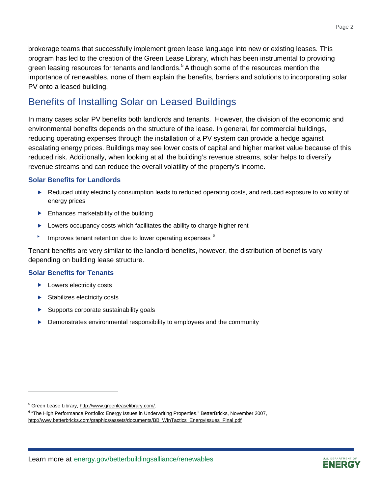brokerage teams that successfully implement green lease language into new or existing leases. This program has led to the creation of the Green Lease Library, which has been instrumental to providing green leasing resources for tenants and landlords.<sup>[5](#page-4-0)</sup> Although some of the resources mention the importance of renewables, none of them explain the benefits, barriers and solutions to incorporating solar PV onto a leased building.

## Benefits of Installing Solar on Leased Buildings

In many cases solar PV benefits both landlords and tenants. However, the division of the economic and environmental benefits depends on the structure of the lease. In general, for commercial buildings, reducing operating expenses through the installation of a PV system can provide a hedge against escalating energy prices. Buildings may see lower costs of capital and higher market value because of this reduced risk. Additionally, when looking at all the building's revenue streams, solar helps to diversify revenue streams and can reduce the overall volatility of the property's income.

#### **Solar Benefits for Landlords**

- Reduced utility electricity consumption leads to reduced operating costs, and reduced exposure to volatility of energy prices
- $\blacktriangleright$  Enhances marketability of the building
- **Lowers occupancy costs which facilitates the ability to charge higher rent**
- Improves tenant retention due to lower operating expenses  $6$

Tenant benefits are very similar to the landlord benefits, however, the distribution of benefits vary depending on building lease structure.

#### **Solar Benefits for Tenants**

- **Lowers electricity costs**
- $\blacktriangleright$  Stabilizes electricity costs
- $\blacktriangleright$  Supports corporate sustainability goals
- **Demonstrates environmental responsibility to employees and the community**



<span id="page-4-1"></span><span id="page-4-0"></span>

<sup>&</sup>lt;sup>5</sup> Green Lease Library, <u>http://www.greenleaselibrary.com/</u>.<br><sup>6</sup> "The High Performance Portfolio: Energy Issues in Underwriting Properties." BetterBricks, November 2007, [http://www.betterbricks.com/graphics/assets/documents/BB\\_WinTactics\\_EnergyIssues\\_Final.pdf](http://www.betterbricks.com/graphics/assets/documents/BB_WinTactics_EnergyIssues_Final.pdf)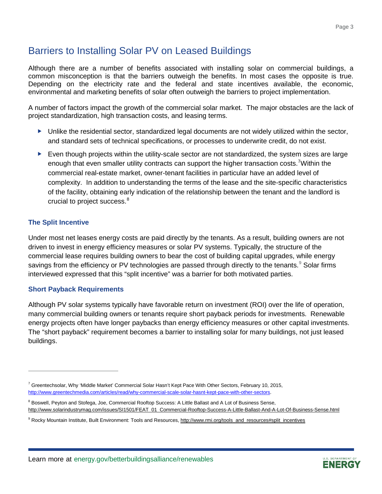## Barriers to Installing Solar PV on Leased Buildings

Although there are a number of benefits associated with installing solar on commercial buildings, a common misconception is that the barriers outweigh the benefits. In most cases the opposite is true. Depending on the electricity rate and the federal and state incentives available, the economic, environmental and marketing benefits of solar often outweigh the barriers to project implementation.

A number of factors impact the growth of the commercial solar market. The major obstacles are the lack of project standardization, high transaction costs, and leasing terms.

- $\blacktriangleright$  Unlike the residential sector, standardized legal documents are not widely utilized within the sector, and standard sets of technical specifications, or processes to underwrite credit, do not exist.
- $\blacktriangleright$  Even though projects within the utility-scale sector are not standardized, the system sizes are large enough that even smaller utility contracts can support the higher transaction costs.<sup>[7](#page-5-0)</sup>Within the commercial real-estate market, owner-tenant facilities in particular have an added level of complexity. In addition to understanding the terms of the lease and the site-specific characteristics of the facility, obtaining early indication of the relationship between the tenant and the landlord is crucial to project success. [8](#page-5-1)

#### **The Split Incentive**

Under most net leases energy costs are paid directly by the tenants. As a result, building owners are not driven to invest in energy efficiency measures or solar PV systems. Typically, the structure of the commercial lease requires building owners to bear the cost of building capital upgrades, while energy savings from the efficiency or PV technologies are passed through directly to the tenants.<sup>[9](#page-5-2)</sup> Solar firms interviewed expressed that this "split incentive" was a barrier for both motivated parties.

#### **Short Payback Requirements**

Although PV solar systems typically have favorable return on investment (ROI) over the life of operation, many commercial building owners or tenants require short payback periods for investments. Renewable energy projects often have longer paybacks than energy efficiency measures or other capital investments. The "short payback" requirement becomes a barrier to installing solar for many buildings, not just leased buildings.



<span id="page-5-0"></span><sup>&</sup>lt;sup>7</sup> Greentechsolar, Why 'Middle Market' Commercial Solar Hasn't Kept Pace With Other Sectors, February 10, 2015, [http://www.greentechmedia.com/articles/read/why-commercial-scale-solar-hasnt-kept-pace-with-other-sectors.](http://www.greentechmedia.com/articles/read/why-commercial-scale-solar-hasnt-kept-pace-with-other-sectors)

<span id="page-5-1"></span><sup>&</sup>lt;sup>8</sup> Boswell, Peyton and Stofega, Joe, Commercial Rooftop Success: A Little Ballast and A Lot of Business Sense, [http://www.solarindustrymag.com/issues/SI1501/FEAT\\_01\\_Commercial-Rooftop-Success-A-Little-Ballast-And-A-Lot-Of-Business-Sense.html](http://www.solarindustrymag.com/issues/SI1501/FEAT_01_Commercial-Rooftop-Success-A-Little-Ballast-And-A-Lot-Of-Business-Sense.html)

<span id="page-5-2"></span><sup>9</sup> Rocky Mountain Institute, Built Environment: Tools and Resources, [http://www.rmi.org/tools\\_and\\_resources#split\\_incentives](http://www.rmi.org/tools_and_resources%23split_incentives)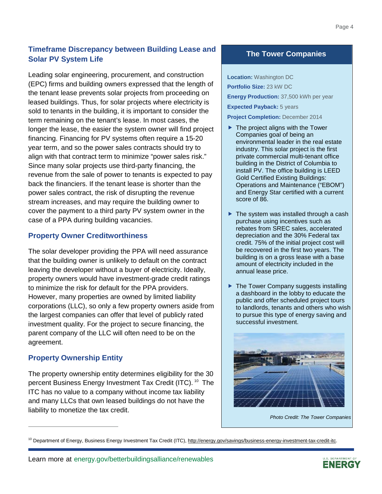#### **Timeframe Discrepancy between Building Lease and Solar PV System Life**

Leading solar engineering, procurement, and construction (EPC) firms and building owners expressed that the length of the tenant lease prevents solar projects from proceeding on leased buildings. Thus, for solar projects where electricity is sold to tenants in the building, it is important to consider the term remaining on the tenant's lease. In most cases, the longer the lease, the easier the system owner will find project financing. Financing for PV systems often require a 15-20 year term, and so the power sales contracts should try to align with that contract term to minimize "power sales risk." Since many solar projects use third-party financing, the revenue from the sale of power to tenants is expected to pay back the financiers. If the tenant lease is shorter than the power sales contract, the risk of disrupting the revenue stream increases, and may require the building owner to cover the payment to a third party PV system owner in the case of a PPA during building vacancies.

#### **Property Owner Creditworthiness**

The solar developer providing the PPA will need assurance that the building owner is unlikely to default on the contract leaving the developer without a buyer of electricity. Ideally, property owners would have investment-grade credit ratings to minimize the risk for default for the PPA providers. However, many properties are owned by limited liability corporations (LLC), so only a few property owners aside from the largest companies can offer that level of publicly rated investment quality. For the project to secure financing, the parent company of the LLC will often need to be on the agreement.

#### **Property Ownership Entity**

The property ownership entity determines eligibility for the 30 percent Business Energy Investment Tax Credit (ITC). <sup>[10](#page-6-0)</sup> The ITC has no value to a company without income tax liability and many LLCs that own leased buildings do not have the liability to monetize the tax credit.

#### **The Tower Companies**

**Location:** Washington DC

**Portfolio Size:** 23 kW DC **Energy Production:** 37,500 kWh per year **Expected Payback:** 5 years

**Project Completion:** December 2014

- $\blacktriangleright$  The project aligns with the Tower Companies goal of being an environmental leader in the real estate industry. This solar project is the first private commercial multi-tenant office building in the District of Columbia to install PV. The office building is LEED Gold Certified Existing Buildings: Operations and Maintenance ("EBOM") and Energy Star certified with a current score of 86.
- ▶ The system was installed through a cash purchase using incentives such as rebates from SREC sales, accelerated depreciation and the 30% Federal tax credit. 75% of the initial project cost will be recovered in the first two years. The building is on a gross lease with a base amount of electricity included in the annual lease price.
- ▶ The Tower Company suggests installing a dashboard in the lobby to educate the public and offer scheduled project tours to landlords, tenants and others who wish to pursue this type of energy saving and successful investment.



*Photo Credit: The Tower Companies*



<span id="page-6-0"></span><sup>&</sup>lt;sup>10</sup> Department of Energy, Business Energy Investment Tax Credit (ITC), http://energy.gov/savings/business-energy-investment-tax-credit-itc.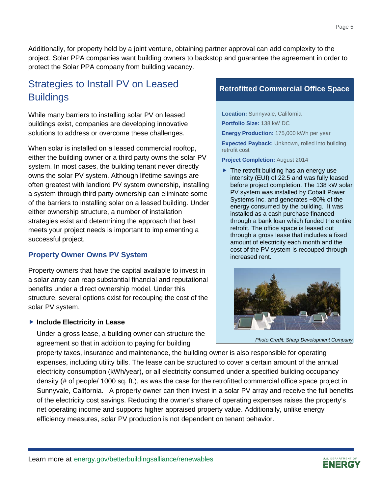Additionally, for property held by a joint venture, obtaining partner approval can add complexity to the project. Solar PPA companies want building owners to backstop and guarantee the agreement in order to protect the Solar PPA company from building vacancy.

## Strategies to Install PV on Leased **Buildings**

While many barriers to installing solar PV on leased buildings exist, companies are developing innovative solutions to address or overcome these challenges.

When solar is installed on a leased commercial rooftop, either the building owner or a third party owns the solar PV system. In most cases, the building tenant never directly owns the solar PV system. Although lifetime savings are often greatest with landlord PV system ownership, installing a system through third party ownership can eliminate some of the barriers to installing solar on a leased building. Under either ownership structure, a number of installation strategies exist and determining the approach that best meets your project needs is important to implementing a successful project.

#### **Property Owner Owns PV System**

Property owners that have the capital available to invest in a solar array can reap substantial financial and reputational benefits under a direct ownership model. Under this structure, several options exist for recouping the cost of the solar PV system.

#### **Include Electricity in Lease**

Under a gross lease, a building owner can structure the agreement so that in addition to paying for building

# property taxes, insurance and maintenance, the building owner is also responsible for operating *Photo Credit: Sharp Development Company*

expenses, including utility bills. The lease can be structured to cover a certain amount of the annual electricity consumption (kWh/year), or all electricity consumed under a specified building occupancy density (# of people/ 1000 sq. ft.), as was the case for the retrofitted commercial office space project in Sunnyvale, California. A property owner can then invest in a solar PV array and receive the full benefits of the electricity cost savings. Reducing the owner's share of operating expenses raises the property's net operating income and supports higher appraised property value. Additionally, unlike energy efficiency measures, solar PV production is not dependent on tenant behavior.

## **Retrofitted Commercial Office Space**

**Location:** Sunnyvale, California **Portfolio Size:** 138 kW DC

**Energy Production:** 175,000 kWh per year

**Expected Payback:** Unknown, rolled into building retrofit cost

**Project Completion:** August 2014

 $\blacktriangleright$  The retrofit building has an energy use intensity (EUI) of 22.5 and was fully leased before project completion. The 138 kW solar PV system was installed by Cobalt Power Systems Inc. and generates ~80% of the energy consumed by the building. It was installed as a cash purchase financed through a bank loan which funded the entire retrofit. The office space is leased out through a gross lease that includes a fixed amount of electricity each month and the cost of the PV system is recouped through increased rent.



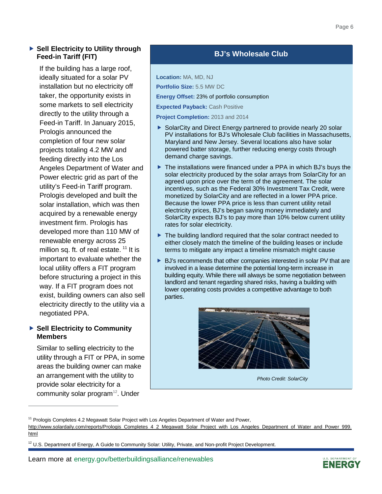If the building has a large roof, ideally situated for a solar PV installation but no electricity off taker, the opportunity exists in some markets to sell electricity directly to the utility through a Feed-in Tariff. In January 2015, Prologis announced the completion of four new solar projects totaling 4.2 MW and feeding directly into the Los Angeles Department of Water and Power electric grid as part of the utility's Feed-in Tariff program. Prologis developed and built the solar installation, which was then acquired by a renewable energy investment firm. Prologis has developed more than 110 MW of renewable energy across 25 million sq. ft. of real estate.  $11$  It is important to evaluate whether the local utility offers a FIT program before structuring a project in this way. If a FIT program does not exist, building owners can also sell electricity directly to the utility via a negotiated PPA.

#### ▶ Sell Electricity to Community **Members**

Similar to selling electricity to the utility through a FIT or PPA, in some areas the building owner can make an arrangement with the utility to provide solar electricity for a community solar program $12$ . Under

#### **BJ's Wholesale Club**

**Location:** MA, MD, NJ

**Portfolio Size:** 5.5 MW DC

**Energy Offset:** 23% of portfolio consumption

**Expected Payback: Cash Positive** 

**Project Completion:** 2013 and 2014

- ▶ SolarCity and Direct Energy partnered to provide nearly 20 solar PV installations for BJ's Wholesale Club facilities in Massachusetts, Maryland and New Jersey. Several locations also have solar powered batter storage, further reducing energy costs through demand charge savings.
- ▶ The installations were financed under a PPA in which BJ's buys the solar electricity produced by the solar arrays from SolarCity for an agreed upon price over the term of the agreement. The solar incentives, such as the Federal 30% Investment Tax Credit, were monetized by SolarCity and are reflected in a lower PPA price. Because the lower PPA price is less than current utility retail electricity prices, BJ's began saving money immediately and SolarCity expects BJ's to pay more than 10% below current utility rates for solar electricity.
- ▶ The building landlord required that the solar contract needed to either closely match the timeline of the building leases or include terms to mitigate any impact a timeline mismatch might cause
- ▶ BJ's recommends that other companies interested in solar PV that are involved in a lease determine the potential long-term increase in building equity. While there will always be some negotiation between landlord and tenant regarding shared risks, having a building with lower operating costs provides a competitive advantage to both parties.



*Photo Credit: SolarCity*



<span id="page-8-0"></span><sup>&</sup>lt;sup>11</sup> Prologis Completes 4.2 Megawatt Solar Project with Los Angeles Department of Water and Power,

[http://www.solardaily.com/reports/Prologis\\_Completes\\_4\\_2\\_Megawatt\\_Solar\\_Project\\_with\\_Los\\_Angeles\\_Department\\_of\\_Water\\_and\\_Power\\_999.](http://www.solardaily.com/reports/Prologis_Completes_4_2_Megawatt_Solar_Project_with_Los_Angeles_Department_of_Water_and_Power_999.html) [html](http://www.solardaily.com/reports/Prologis_Completes_4_2_Megawatt_Solar_Project_with_Los_Angeles_Department_of_Water_and_Power_999.html)

<span id="page-8-1"></span> $12$  U.S. Department of Energy, A Guide to Community Solar: Utility, Private, and Non-profit Project Development.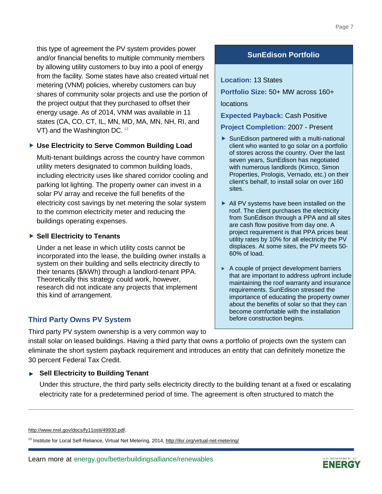this type of agreement the PV system provides power and/or financial benefits to multiple community members by allowing utility customers to buy into a pool of energy from the facility. Some states have also created virtual net metering (VNM) policies, whereby customers can buy shares of community solar projects and use the portion of the project output that they purchased to offset their energy usage. As of 2014, VNM was available in 11 states (CA, CO, CT, IL, MN, MD, MA, MN, NH, RI, and VT) and the Washington DC. <sup>13</sup>

#### **Use Electricity to Serve Common Building Load**

Multi-tenant buildings across the country have common utility meters designated to common building loads, including electricity uses like shared corridor cooling and parking lot lighting. The property owner can invest in a solar PV array and receive the full benefits of the electricity cost savings by net metering the solar system to the common electricity meter and reducing the buildings operating expenses.

#### **Sell Electricity to Tenants**

Under a net lease in which utility costs cannot be incorporated into the lease, the building owner installs a system on their building and sells electricity directly to their tenants (\$/kWh) through a landlord-tenant PPA. Theoretically this strategy could work, however, research did not indicate any projects that implement this kind of arrangement.

#### **Third Party Owns PV System**

Third party PV system ownership is a very common way to

install solar on leased buildings. Having a third party that owns a portfolio of projects own the system can eliminate the short system payback requirement and introduces an entity that can definitely monetize the 30 percent Federal Tax Credit.

#### **Sell Electricity to Building Tenant**

Under this structure, the third party sells electricity directly to the building tenant at a fixed or escalating electricity rate for a predetermined period of time. The agreement is often structured to match the

<span id="page-9-0"></span><sup>13</sup> Institute for Local Self-Reliance, Virtual Net Metering, 2014, http://ilsr.org/virtual-net-metering/

#### **SunEdison Portfolio**

#### **Location:** 13 States

**Portfolio Size:** 50+ MW across 160+ locations

**Expected Payback:** Cash Positive

**Project Completion:** 2007 - Present

- ▶ SunEdison partnered with a multi-national client who wanted to go solar on a portfolio of stores across the country. Over the last seven years, SunEdison has negotiated with numerous landlords (Kimco, Simon Properties, Prologis, Vernado, etc.) on their client's behalf, to install solar on over 160 sites.
- All PV systems have been installed on the roof. The client purchases the electricity from SunEdison through a PPA and all sites are cash flow positive from day one. A project requirement is that PPA prices beat utility rates by 10% for all electricity the PV displaces. At some sites, the PV meets 50- 60% of load.
- $\triangleright$  A couple of project development barriers that are important to address upfront include maintaining the roof warranty and insurance requirements. SunEdison stressed the importance of educating the property owner about the benefits of solar so that they can become comfortable with the installation before construction begins.



[http://www.nrel.gov/docs/fy11osti/49930.pdf.](http://www.nrel.gov/docs/fy11osti/49930.pdf)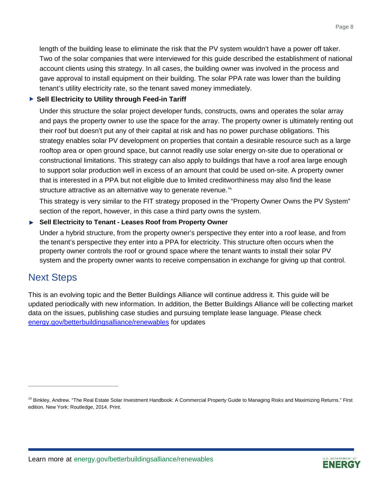length of the building lease to eliminate the risk that the PV system wouldn't have a power off taker. Two of the solar companies that were interviewed for this guide described the establishment of national account clients using this strategy. In all cases, the building owner was involved in the process and gave approval to install equipment on their building. The solar PPA rate was lower than the building tenant's utility electricity rate, so the tenant saved money immediately.

#### **Sell Electricity to Utility through Feed-in Tariff**

Under this structure the solar project developer funds, constructs, owns and operates the solar array and pays the property owner to use the space for the array. The property owner is ultimately renting out their roof but doesn't put any of their capital at risk and has no power purchase obligations. This strategy enables solar PV development on properties that contain a desirable resource such as a large rooftop area or open ground space, but cannot readily use solar energy on-site due to operational or constructional limitations. This strategy can also apply to buildings that have a roof area large enough to support solar production well in excess of an amount that could be used on-site. A property owner that is interested in a PPA but not eligible due to limited creditworthiness may also find the lease structure attractive as an alternative way to generate revenue.<sup>[14](#page-10-0)</sup>

This strategy is very similar to the FIT strategy proposed in the "Property Owner Owns the PV System" section of the report, however, in this case a third party owns the system.

#### **Sell Electricity to Tenant - Leases Roof from Property Owner**

Under a hybrid structure, from the property owner's perspective they enter into a roof lease, and from the tenant's perspective they enter into a PPA for electricity. This structure often occurs when the property owner controls the roof or ground space where the tenant wants to install their solar PV system and the property owner wants to receive compensation in exchange for giving up that control.

### Next Steps

This is an evolving topic and the Better Buildings Alliance will continue address it. This guide will be updated periodically with new information. In addition, the Better Buildings Alliance will be collecting market data on the issues, publishing case studies and pursuing template lease language. Please check energy.gov/betterbuildingsalliance/renewables for updates



<span id="page-10-0"></span><sup>&</sup>lt;sup>14</sup> Binkley, Andrew. "The Real Estate Solar Investment Handbook: A Commercial Property Guide to Managing Risks and Maximizing Returns." First edition. New York: Routledge, 2014. Print.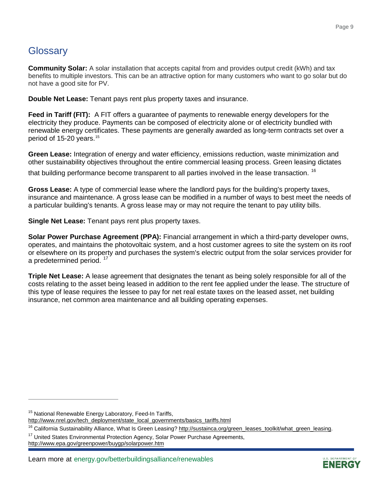## **Glossary**

**Community Solar:** A solar installation that accepts capital from and provides output credit (kWh) and tax benefits to multiple investors. This can be an attractive option for many customers who want to go solar but do not have a good site for PV.

**Double Net Lease:** Tenant pays rent plus property taxes and insurance.

**Feed in Tariff (FIT):** A FIT offers a guarantee of payments to renewable energy developers for the electricity they produce. Payments can be composed of electricity alone or of electricity bundled with renewable energy certificates. These payments are generally awarded as long-term contracts set over a period of [15](#page-11-0)-20 years.<sup>15</sup>

**Green Lease:** Integration of energy and water efficiency, emissions reduction, waste minimization and other sustainability objectives throughout the entire commercial leasing process. Green leasing dictates

that building performance become transparent to all parties involved in the lease transaction.<sup>16</sup>

**Gross Lease:** A type of commercial lease where the landlord pays for the building's property taxes, insurance and maintenance. A gross lease can be modified in a number of ways to best meet the needs of a particular building's tenants. A gross lease may or may not require the tenant to pay utility bills.

**Single Net Lease:** Tenant pays rent plus property taxes.

**Solar Power Purchase Agreement (PPA):** Financial arrangement in which a third-party developer owns, operates, and maintains the photovoltaic system, and a host customer agrees to site the system on its roof or elsewhere on its property and purchases the system's electric output from the solar services provider for a predetermined period.<sup>[17](#page-11-2)</sup>

**Triple Net Lease:** A lease agreement that designates the tenant as being solely responsible for all of the costs relating to the asset being leased in addition to the rent fee applied under the lease. The structure of this type of lease requires the lessee to pay for net real estate taxes on the leased asset, net building insurance, net common area maintenance and all building operating expenses.



<span id="page-11-0"></span><sup>&</sup>lt;sup>15</sup> National Renewable Energy Laboratory, Feed-In Tariffs,

[http://www.nrel.gov/tech\\_deployment/state\\_local\\_governments/basics\\_tariffs.html](http://www.nrel.gov/tech_deployment/state_local_governments/basics_tariffs.html)

<span id="page-11-1"></span><sup>&</sup>lt;sup>16</sup> California Sustainability Alliance, What Is Green Leasing[? http://sustainca.org/green\\_leases\\_toolkit/what\\_green\\_leasing.](http://sustainca.org/green_leases_toolkit/what_green_leasing)<br><sup>17</sup> United States Environmental Protection Agency, Solar Power Purchase Agreements,

<span id="page-11-2"></span><http://www.epa.gov/greenpower/buygp/solarpower.htm>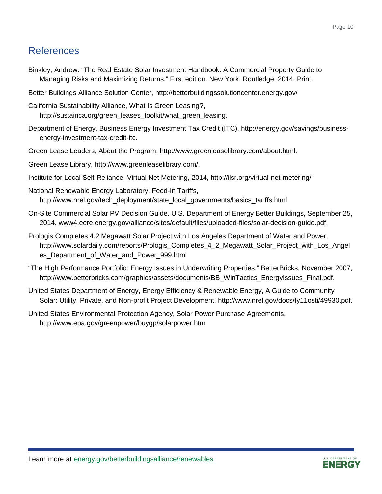## References

- Binkley, Andrew. "The Real Estate Solar Investment Handbook: A Commercial Property Guide to Managing Risks and Maximizing Returns." First edition. New York: Routledge, 2014. Print.
- Better Buildings Alliance Solution Center, http://betterbuildingssolutioncenter.energy.gov/
- California Sustainability Alliance, What Is Green Leasing?, [http://sustainca.org/green\\_leases\\_toolkit/what\\_green\\_leasing.](http://sustainca.org/green_leases_toolkit/what_green_leasing)
- Department of Energy, Business Energy Investment Tax Credit (ITC), [http://energy.gov/savings/business](http://energy.gov/savings/business-energy-investment-tax-credit-itc)[energy-investment-tax-credit-itc.](http://energy.gov/savings/business-energy-investment-tax-credit-itc)
- Green Lease Leaders, About the Program, [http://www.greenleaselibrary.com/about.html.](http://www.greenleaselibrary.com/about.html)
- Green Lease Library, [http://www.greenleaselibrary.com/.](http://www.greenleaselibrary.com/)
- Institute for Local Self-Reliance, Virtual Net Metering, 2014,<http://ilsr.org/virtual-net-metering/>
- National Renewable Energy Laboratory, Feed-In Tariffs, [http://www.nrel.gov/tech\\_deployment/state\\_local\\_governments/basics\\_tariffs.html](http://www.nrel.gov/tech_deployment/state_local_governments/basics_tariffs.html)
- On-Site Commercial Solar PV Decision Guide. U.S. Department of Energy Better Buildings, September 25, 2014. [www4.eere.energy.gov/alliance/sites/default/files/uploaded-files/solar-decision-guide.pdf.](https://www4.eere.energy.gov/alliance/sites/default/files/uploaded-files/solar-decision-guide.pdf)
- Prologis Completes 4.2 Megawatt Solar Project with Los Angeles Department of Water and Power, [http://www.solardaily.com/reports/Prologis\\_Completes\\_4\\_2\\_Megawatt\\_Solar\\_Project\\_with\\_Los\\_Angel](http://www.solardaily.com/reports/Prologis_Completes_4_2_Megawatt_Solar_Project_with_Los_Angeles_Department_of_Water_and_Power_999.html) [es\\_Department\\_of\\_Water\\_and\\_Power\\_999.html](http://www.solardaily.com/reports/Prologis_Completes_4_2_Megawatt_Solar_Project_with_Los_Angeles_Department_of_Water_and_Power_999.html)
- "The High Performance Portfolio: Energy Issues in Underwriting Properties." BetterBricks, November 2007, [http://www.betterbricks.com/graphics/assets/documents/BB\\_WinTactics\\_EnergyIssues\\_Final.pdf.](http://www.betterbricks.com/graphics/assets/documents/BB_WinTactics_EnergyIssues_Final.pdf)
- United States Department of Energy, Energy Efficiency & Renewable Energy, A Guide to Community Solar: Utility, Private, and Non-profit Project Development. [http://www.nrel.gov/docs/fy11osti/49930.pdf.](http://www.nrel.gov/docs/fy11osti/49930.pdf)
- United States Environmental Protection Agency, Solar Power Purchase Agreements, <http://www.epa.gov/greenpower/buygp/solarpower.htm>